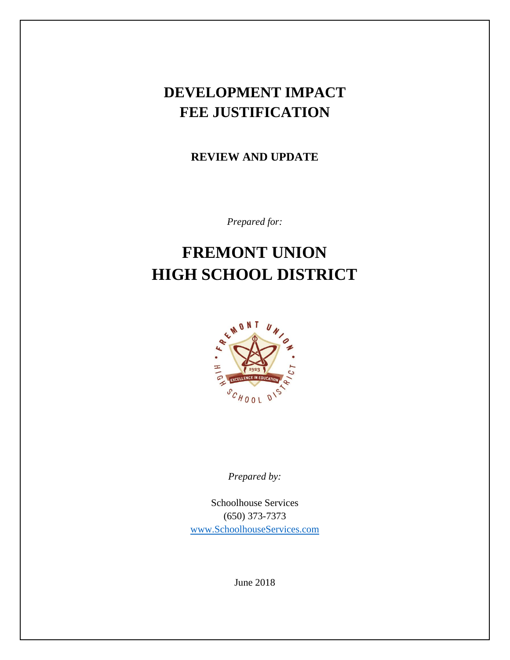## **DEVELOPMENT IMPACT FEE JUSTIFICATION**

**REVIEW AND UPDATE**

*Prepared for:*

# **FREMONT UNION HIGH SCHOOL DISTRICT**



*Prepared by:*

Schoolhouse Services (650) 373-7373 [www.SchoolhouseServices.com](http://www.schoolhouseservices.com/)

June 2018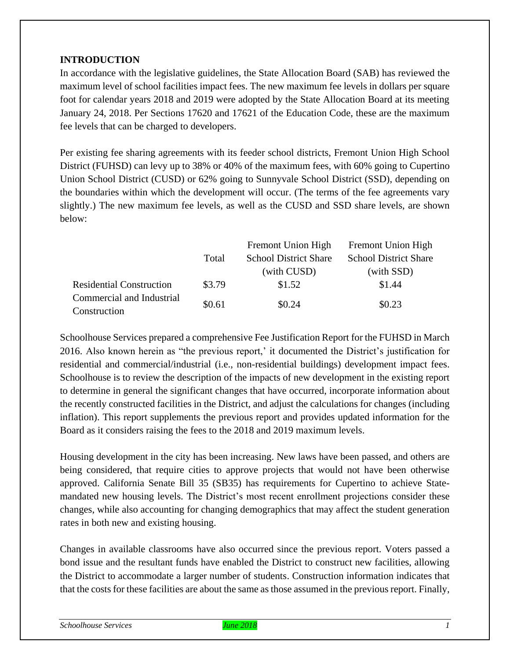## **INTRODUCTION**

In accordance with the legislative guidelines, the State Allocation Board (SAB) has reviewed the maximum level of school facilities impact fees. The new maximum fee levels in dollars per square foot for calendar years 2018 and 2019 were adopted by the State Allocation Board at its meeting January 24, 2018. Per Sections 17620 and 17621 of the Education Code, these are the maximum fee levels that can be charged to developers.

Per existing fee sharing agreements with its feeder school districts, Fremont Union High School District (FUHSD) can levy up to 38% or 40% of the maximum fees, with 60% going to Cupertino Union School District (CUSD) or 62% going to Sunnyvale School District (SSD), depending on the boundaries within which the development will occur. (The terms of the fee agreements vary slightly.) The new maximum fee levels, as well as the CUSD and SSD share levels, are shown below:

|                                 |        | <b>Fremont Union High</b>    | <b>Fremont Union High</b>    |  |
|---------------------------------|--------|------------------------------|------------------------------|--|
|                                 | Total  | <b>School District Share</b> | <b>School District Share</b> |  |
|                                 |        | (with CUSD)                  | (with SSD)                   |  |
| <b>Residential Construction</b> | \$3.79 | \$1.52                       | \$1.44                       |  |
| Commercial and Industrial       | \$0.61 | \$0.24                       | \$0.23                       |  |
| Construction                    |        |                              |                              |  |

Schoolhouse Services prepared a comprehensive Fee Justification Report for the FUHSD in March 2016. Also known herein as "the previous report,' it documented the District's justification for residential and commercial/industrial (i.e., non-residential buildings) development impact fees. Schoolhouse is to review the description of the impacts of new development in the existing report to determine in general the significant changes that have occurred, incorporate information about the recently constructed facilities in the District, and adjust the calculations for changes (including inflation). This report supplements the previous report and provides updated information for the Board as it considers raising the fees to the 2018 and 2019 maximum levels.

Housing development in the city has been increasing. New laws have been passed, and others are being considered, that require cities to approve projects that would not have been otherwise approved. California Senate Bill 35 (SB35) has requirements for Cupertino to achieve Statemandated new housing levels. The District's most recent enrollment projections consider these changes, while also accounting for changing demographics that may affect the student generation rates in both new and existing housing.

Changes in available classrooms have also occurred since the previous report. Voters passed a bond issue and the resultant funds have enabled the District to construct new facilities, allowing the District to accommodate a larger number of students. Construction information indicates that that the costs for these facilities are about the same as those assumed in the previous report. Finally,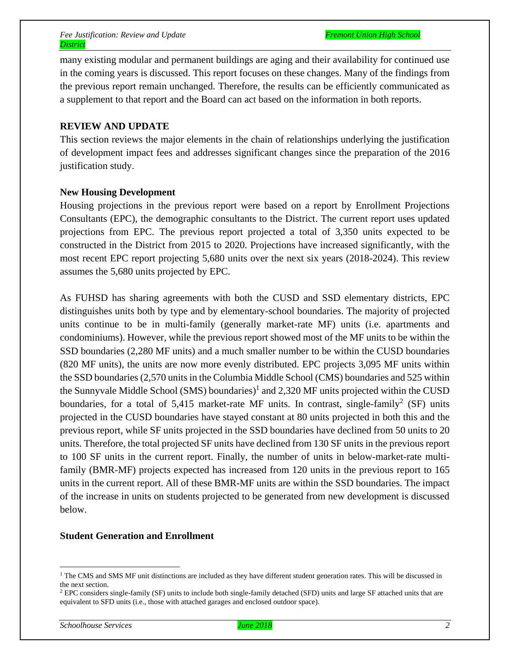many existing modular and permanent buildings are aging and their availability for continued use in the coming years is discussed. This report focuses on these changes. Many of the findings from the previous report remain unchanged. Therefore, the results can be efficiently communicated as a supplement to that report and the Board can act based on the information in both reports.

#### **REVIEW AND UPDATE**

This section reviews the major elements in the chain of relationships underlying the justification of development impact fees and addresses significant changes since the preparation of the 2016 justification study.

#### **New Housing Development**

Housing projections in the previous report were based on a report by Enrollment Projections Consultants (EPC), the demographic consultants to the District. The current report uses updated projections from EPC. The previous report projected a total of 3,350 units expected to be constructed in the District from 2015 to 2020. Projections have increased significantly, with the most recent EPC report projecting 5,680 units over the next six years (2018-2024). This review assumes the 5,680 units projected by EPC.

As FUHSD has sharing agreements with both the CUSD and SSD elementary districts, EPC distinguishes units both by type and by elementary-school boundaries. The majority of projected units continue to be in multi-family (generally market-rate MF) units (i.e. apartments and condominiums). However, while the previous report showed most of the MF units to be within the SSD boundaries (2,280 MF units) and a much smaller number to be within the CUSD boundaries (820 MF units), the units are now more evenly distributed. EPC projects 3,095 MF units within the SSD boundaries (2,570 units in the Columbia Middle School (CMS) boundaries and 525 within the Sunnyvale Middle School (SMS) boundaries)<sup>1</sup> and 2,320 MF units projected within the CUSD boundaries, for a total of 5,415 market-rate MF units. In contrast, single-family<sup>2</sup> (SF) units projected in the CUSD boundaries have stayed constant at 80 units projected in both this and the previous report, while SF units projected in the SSD boundaries have declined from 50 units to 20 units. Therefore, the total projected SF units have declined from 130 SF units in the previous report to 100 SF units in the current report. Finally, the number of units in below-market-rate multifamily (BMR-MF) projects expected has increased from 120 units in the previous report to 165 units in the current report. All of these BMR-MF units are within the SSD boundaries. The impact of the increase in units on students projected to be generated from new development is discussed below.

#### **Student Generation and Enrollment**

<sup>&</sup>lt;sup>1</sup> The CMS and SMS MF unit distinctions are included as they have different student generation rates. This will be discussed in the next section.

<sup>2</sup> EPC considers single-family (SF) units to include both single-family detached (SFD) units and large SF attached units that are equivalent to SFD units (i.e., those with attached garages and enclosed outdoor space).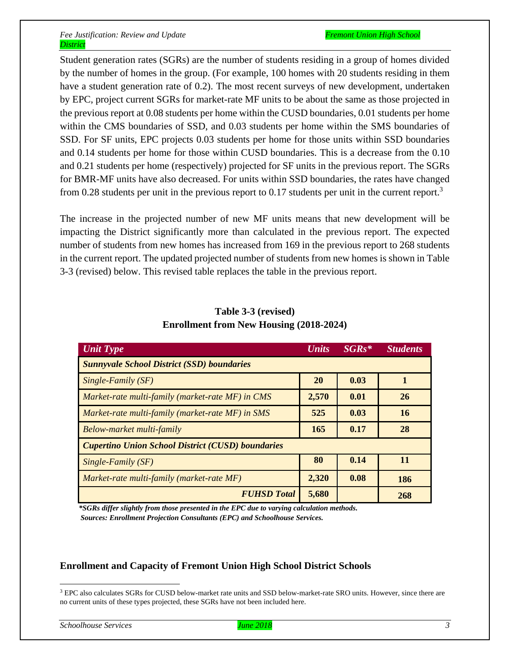Student generation rates (SGRs) are the number of students residing in a group of homes divided by the number of homes in the group. (For example, 100 homes with 20 students residing in them have a student generation rate of 0.2). The most recent surveys of new development, undertaken by EPC, project current SGRs for market-rate MF units to be about the same as those projected in the previous report at 0.08 students per home within the CUSD boundaries, 0.01 students per home within the CMS boundaries of SSD, and 0.03 students per home within the SMS boundaries of SSD. For SF units, EPC projects 0.03 students per home for those units within SSD boundaries and 0.14 students per home for those within CUSD boundaries. This is a decrease from the 0.10 and 0.21 students per home (respectively) projected for SF units in the previous report. The SGRs for BMR-MF units have also decreased. For units within SSD boundaries, the rates have changed from 0.28 students per unit in the previous report to 0.17 students per unit in the current report.<sup>3</sup>

The increase in the projected number of new MF units means that new development will be impacting the District significantly more than calculated in the previous report. The expected number of students from new homes has increased from 169 in the previous report to 268 students in the current report. The updated projected number of students from new homes is shown in Table 3-3 (revised) below. This revised table replaces the table in the previous report.

| <b>Unit Type</b>                                         | <b>Units</b> | $SGRs*$ | <b>Students</b> |  |
|----------------------------------------------------------|--------------|---------|-----------------|--|
| <b>Sunnyvale School District (SSD) boundaries</b>        |              |         |                 |  |
| $Single-Family(SF)$                                      | 20           | 0.03    |                 |  |
| Market-rate multi-family (market-rate MF) in CMS         | 2,570        | 0.01    | 26              |  |
| Market-rate multi-family (market-rate MF) in SMS         | 525          | 0.03    | 16              |  |
| Below-market multi-family                                | 165          | 0.17    | 28              |  |
| <b>Cupertino Union School District (CUSD) boundaries</b> |              |         |                 |  |
| Single-Family (SF)                                       | 80           | 0.14    | 11              |  |
| Market-rate multi-family (market-rate MF)                | 2,320        | 0.08    | 186             |  |
| <b>FUHSD Total</b>                                       | 5,680        |         | 268             |  |

## **Table 3-3 (revised) Enrollment from New Housing (2018-2024)**

 *\*SGRs differ slightly from those presented in the EPC due to varying calculation methods. Sources: Enrollment Projection Consultants (EPC) and Schoolhouse Services.*

## **Enrollment and Capacity of Fremont Union High School District Schools**

<sup>&</sup>lt;sup>3</sup> EPC also calculates SGRs for CUSD below-market rate units and SSD below-market-rate SRO units. However, since there are no current units of these types projected, these SGRs have not been included here.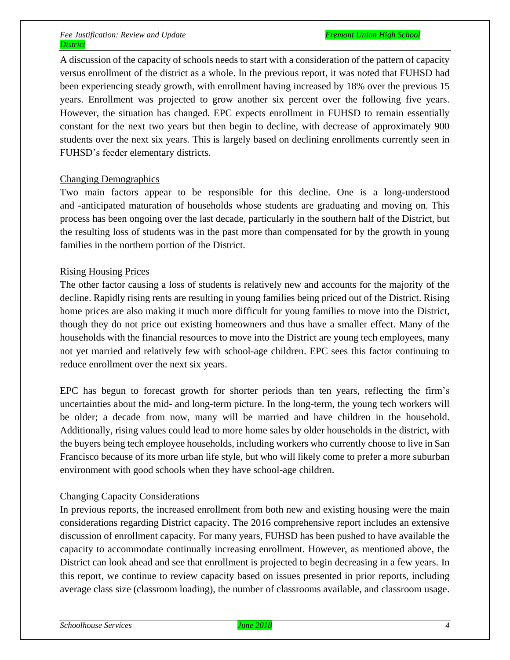A discussion of the capacity of schools needs to start with a consideration of the pattern of capacity versus enrollment of the district as a whole. In the previous report, it was noted that FUHSD had been experiencing steady growth, with enrollment having increased by 18% over the previous 15 years. Enrollment was projected to grow another six percent over the following five years. However, the situation has changed. EPC expects enrollment in FUHSD to remain essentially constant for the next two years but then begin to decline, with decrease of approximately 900 students over the next six years. This is largely based on declining enrollments currently seen in FUHSD's feeder elementary districts.

## Changing Demographics

Two main factors appear to be responsible for this decline. One is a long-understood and -anticipated maturation of households whose students are graduating and moving on. This process has been ongoing over the last decade, particularly in the southern half of the District, but the resulting loss of students was in the past more than compensated for by the growth in young families in the northern portion of the District.

## Rising Housing Prices

The other factor causing a loss of students is relatively new and accounts for the majority of the decline. Rapidly rising rents are resulting in young families being priced out of the District. Rising home prices are also making it much more difficult for young families to move into the District, though they do not price out existing homeowners and thus have a smaller effect. Many of the households with the financial resources to move into the District are young tech employees, many not yet married and relatively few with school-age children. EPC sees this factor continuing to reduce enrollment over the next six years.

EPC has begun to forecast growth for shorter periods than ten years, reflecting the firm's uncertainties about the mid- and long-term picture. In the long-term, the young tech workers will be older; a decade from now, many will be married and have children in the household. Additionally, rising values could lead to more home sales by older households in the district, with the buyers being tech employee households, including workers who currently choose to live in San Francisco because of its more urban life style, but who will likely come to prefer a more suburban environment with good schools when they have school-age children.

## Changing Capacity Considerations

In previous reports, the increased enrollment from both new and existing housing were the main considerations regarding District capacity. The 2016 comprehensive report includes an extensive discussion of enrollment capacity. For many years, FUHSD has been pushed to have available the capacity to accommodate continually increasing enrollment. However, as mentioned above, the District can look ahead and see that enrollment is projected to begin decreasing in a few years. In this report, we continue to review capacity based on issues presented in prior reports, including average class size (classroom loading), the number of classrooms available, and classroom usage.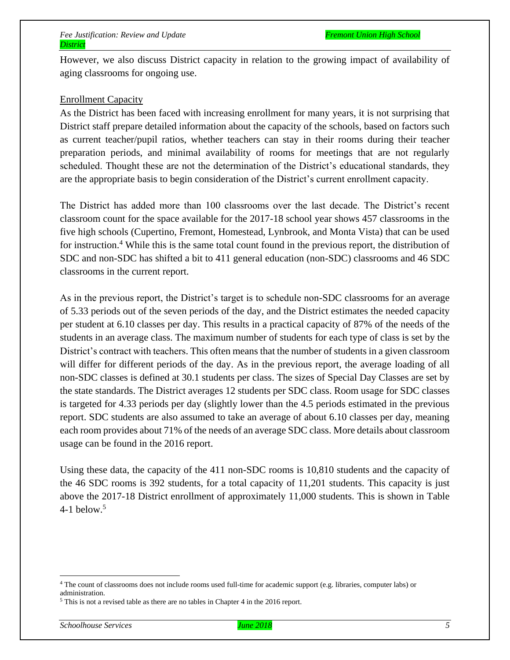However, we also discuss District capacity in relation to the growing impact of availability of aging classrooms for ongoing use.

#### Enrollment Capacity

As the District has been faced with increasing enrollment for many years, it is not surprising that District staff prepare detailed information about the capacity of the schools, based on factors such as current teacher/pupil ratios, whether teachers can stay in their rooms during their teacher preparation periods, and minimal availability of rooms for meetings that are not regularly scheduled. Thought these are not the determination of the District's educational standards, they are the appropriate basis to begin consideration of the District's current enrollment capacity.

The District has added more than 100 classrooms over the last decade. The District's recent classroom count for the space available for the 2017-18 school year shows 457 classrooms in the five high schools (Cupertino, Fremont, Homestead, Lynbrook, and Monta Vista) that can be used for instruction.<sup>4</sup> While this is the same total count found in the previous report, the distribution of SDC and non-SDC has shifted a bit to 411 general education (non-SDC) classrooms and 46 SDC classrooms in the current report.

As in the previous report, the District's target is to schedule non-SDC classrooms for an average of 5.33 periods out of the seven periods of the day, and the District estimates the needed capacity per student at 6.10 classes per day. This results in a practical capacity of 87% of the needs of the students in an average class. The maximum number of students for each type of class is set by the District's contract with teachers. This often means that the number of students in a given classroom will differ for different periods of the day. As in the previous report, the average loading of all non-SDC classes is defined at 30.1 students per class. The sizes of Special Day Classes are set by the state standards. The District averages 12 students per SDC class. Room usage for SDC classes is targeted for 4.33 periods per day (slightly lower than the 4.5 periods estimated in the previous report. SDC students are also assumed to take an average of about 6.10 classes per day, meaning each room provides about 71% of the needs of an average SDC class. More details about classroom usage can be found in the 2016 report.

Using these data, the capacity of the 411 non-SDC rooms is 10,810 students and the capacity of the 46 SDC rooms is 392 students, for a total capacity of 11,201 students. This capacity is just above the 2017-18 District enrollment of approximately 11,000 students. This is shown in Table 4-1 below. 5

<sup>4</sup> The count of classrooms does not include rooms used full-time for academic support (e.g. libraries, computer labs) or administration.

<sup>5</sup> This is not a revised table as there are no tables in Chapter 4 in the 2016 report.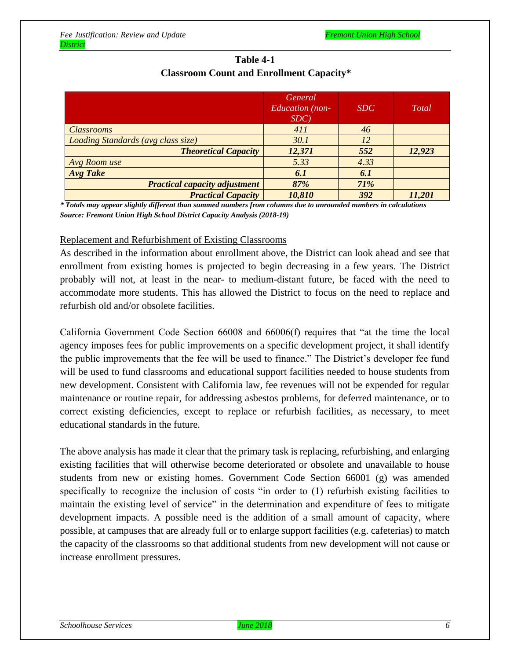|                                      | <i>General</i><br><b>Education</b> (non-<br>SDC | SDC  | Total  |
|--------------------------------------|-------------------------------------------------|------|--------|
| <i><b>Classrooms</b></i>             | 411                                             | 46   |        |
| Loading Standards (avg class size)   | 30.1                                            | 12   |        |
| <b>Theoretical Capacity</b>          | 12,371                                          | 552  | 12,923 |
| Avg Room use                         | 5.33                                            | 4.33 |        |
| <b>Avg</b> Take                      | 6.1                                             | 6.1  |        |
| <b>Practical capacity adjustment</b> | 87%                                             | 71%  |        |
| <b>Practical Capacity</b>            | 10,810                                          | 392  | 11,201 |

## **Table 4-1 Classroom Count and Enrollment Capacity\***

*\* Totals may appear slightly different than summed numbers from columns due to unrounded numbers in calculations Source: Fremont Union High School District Capacity Analysis (2018-19)*

#### Replacement and Refurbishment of Existing Classrooms

As described in the information about enrollment above, the District can look ahead and see that enrollment from existing homes is projected to begin decreasing in a few years. The District probably will not, at least in the near- to medium-distant future, be faced with the need to accommodate more students. This has allowed the District to focus on the need to replace and refurbish old and/or obsolete facilities.

California Government Code Section 66008 and 66006(f) requires that "at the time the local agency imposes fees for public improvements on a specific development project, it shall identify the public improvements that the fee will be used to finance." The District's developer fee fund will be used to fund classrooms and educational support facilities needed to house students from new development. Consistent with California law, fee revenues will not be expended for regular maintenance or routine repair, for addressing asbestos problems, for deferred maintenance, or to correct existing deficiencies, except to replace or refurbish facilities, as necessary, to meet educational standards in the future.

The above analysis has made it clear that the primary task is replacing, refurbishing, and enlarging existing facilities that will otherwise become deteriorated or obsolete and unavailable to house students from new or existing homes. Government Code Section 66001 (g) was amended specifically to recognize the inclusion of costs "in order to (1) refurbish existing facilities to maintain the existing level of service" in the determination and expenditure of fees to mitigate development impacts. A possible need is the addition of a small amount of capacity, where possible, at campuses that are already full or to enlarge support facilities (e.g. cafeterias) to match the capacity of the classrooms so that additional students from new development will not cause or increase enrollment pressures.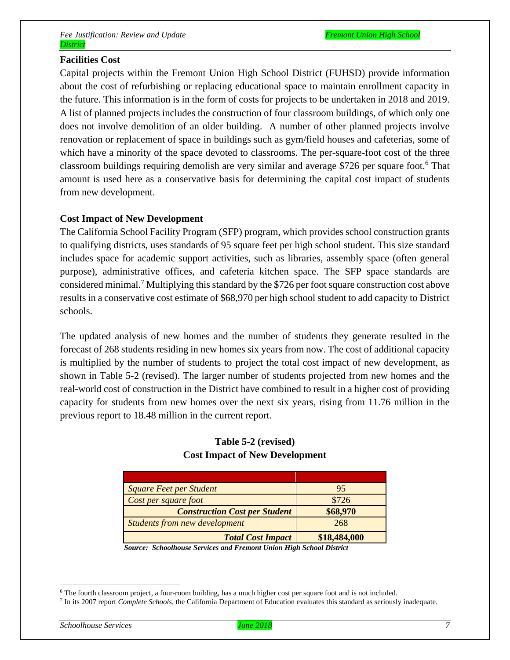#### **Facilities Cost**

Capital projects within the Fremont Union High School District (FUHSD) provide information about the cost of refurbishing or replacing educational space to maintain enrollment capacity in the future. This information is in the form of costs for projects to be undertaken in 2018 and 2019. A list of planned projects includes the construction of four classroom buildings, of which only one does not involve demolition of an older building. A number of other planned projects involve renovation or replacement of space in buildings such as gym/field houses and cafeterias, some of which have a minority of the space devoted to classrooms. The per-square-foot cost of the three classroom buildings requiring demolish are very similar and average \$726 per square foot.<sup>6</sup> That amount is used here as a conservative basis for determining the capital cost impact of students from new development.

#### **Cost Impact of New Development**

The California School Facility Program (SFP) program, which provides school construction grants to qualifying districts, uses standards of 95 square feet per high school student. This size standard includes space for academic support activities, such as libraries, assembly space (often general purpose), administrative offices, and cafeteria kitchen space. The SFP space standards are considered minimal.<sup>7</sup> Multiplying this standard by the \$726 per footsquare construction cost above results in a conservative cost estimate of \$68,970 per high school student to add capacity to District schools.

The updated analysis of new homes and the number of students they generate resulted in the forecast of 268 students residing in new homes six years from now. The cost of additional capacity is multiplied by the number of students to project the total cost impact of new development, as shown in Table 5-2 (revised). The larger number of students projected from new homes and the real-world cost of construction in the District have combined to result in a higher cost of providing capacity for students from new homes over the next six years, rising from 11.76 million in the previous report to 18.48 million in the current report.

| <b>Square Feet per Student</b>       | 95           |
|--------------------------------------|--------------|
| Cost per square foot                 | \$726        |
| <b>Construction Cost per Student</b> | \$68,970     |
| <b>Students from new development</b> | 268          |
| <b>Total Cost Impact</b>             | \$18,484,000 |

## **Table 5-2 (revised) Cost Impact of New Development**

*Source: Schoolhouse Services and Fremont Union High School District*

<sup>6</sup> The fourth classroom project, a four-room building, has a much higher cost per square foot and is not included.

<sup>7</sup> In its 2007 report *Complete Schools*, the California Department of Education evaluates this standard as seriously inadequate.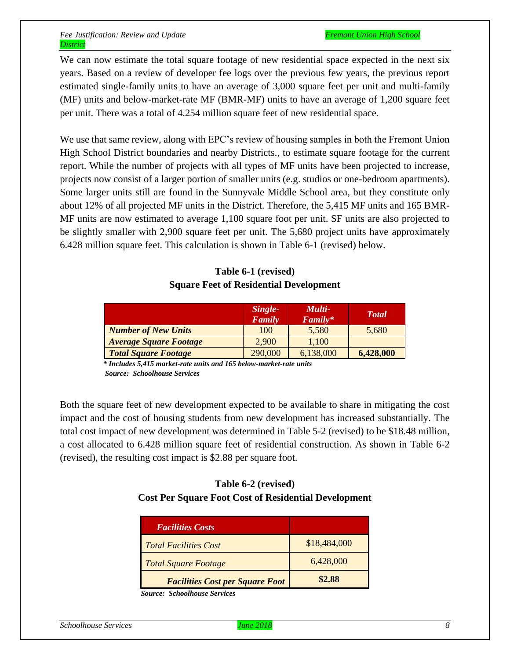We can now estimate the total square footage of new residential space expected in the next six years. Based on a review of developer fee logs over the previous few years, the previous report estimated single-family units to have an average of 3,000 square feet per unit and multi-family (MF) units and below-market-rate MF (BMR-MF) units to have an average of 1,200 square feet per unit. There was a total of 4.254 million square feet of new residential space.

We use that same review, along with EPC's review of housing samples in both the Fremont Union High School District boundaries and nearby Districts., to estimate square footage for the current report. While the number of projects with all types of MF units have been projected to increase, projects now consist of a larger portion of smaller units (e.g. studios or one-bedroom apartments). Some larger units still are found in the Sunnyvale Middle School area, but they constitute only about 12% of all projected MF units in the District. Therefore, the 5,415 MF units and 165 BMR-MF units are now estimated to average 1,100 square foot per unit. SF units are also projected to be slightly smaller with 2,900 square feet per unit. The 5,680 project units have approximately 6.428 million square feet. This calculation is shown in Table 6-1 (revised) below.

## **Table 6-1 (revised) Square Feet of Residential Development**

|                               | Single-<br>Family | Multi-<br>Family* | <b>T</b> otal |
|-------------------------------|-------------------|-------------------|---------------|
| <b>Number of New Units</b>    | 100               | 5,580             | 5,680         |
| <b>Average Square Footage</b> | 2,900             | 1,100             |               |
| <b>Total Square Footage</b>   | 290,000           | 6,138,000         | 6,428,000     |

 *\* Includes 5,415 market-rate units and 165 below-market-rate units Source: Schoolhouse Services* 

Both the square feet of new development expected to be available to share in mitigating the cost impact and the cost of housing students from new development has increased substantially. The total cost impact of new development was determined in Table 5-2 (revised) to be \$18.48 million, a cost allocated to 6.428 million square feet of residential construction. As shown in Table 6-2 (revised), the resulting cost impact is \$2.88 per square foot.

## **Table 6-2 (revised) Cost Per Square Foot Cost of Residential Development**

| <b>Facilities Costs</b>                |              |
|----------------------------------------|--------------|
| <b>Total Facilities Cost</b>           | \$18,484,000 |
| <b>Total Square Footage</b>            | 6,428,000    |
| <b>Facilities Cost per Square Foot</b> | \$2.88       |

 *Source: Schoolhouse Services*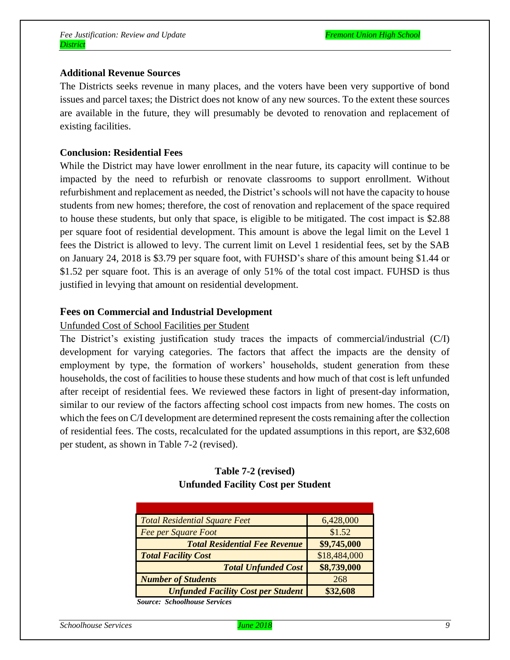#### **Additional Revenue Sources**

The Districts seeks revenue in many places, and the voters have been very supportive of bond issues and parcel taxes; the District does not know of any new sources. To the extent these sources are available in the future, they will presumably be devoted to renovation and replacement of existing facilities.

#### **Conclusion: Residential Fees**

While the District may have lower enrollment in the near future, its capacity will continue to be impacted by the need to refurbish or renovate classrooms to support enrollment. Without refurbishment and replacement as needed, the District's schools will not have the capacity to house students from new homes; therefore, the cost of renovation and replacement of the space required to house these students, but only that space, is eligible to be mitigated. The cost impact is \$2.88 per square foot of residential development. This amount is above the legal limit on the Level 1 fees the District is allowed to levy. The current limit on Level 1 residential fees, set by the SAB on January 24, 2018 is \$3.79 per square foot, with FUHSD's share of this amount being \$1.44 or \$1.52 per square foot. This is an average of only 51% of the total cost impact. FUHSD is thus justified in levying that amount on residential development.

#### **Fees on Commercial and Industrial Development**

#### Unfunded Cost of School Facilities per Student

The District's existing justification study traces the impacts of commercial/industrial (C/I) development for varying categories. The factors that affect the impacts are the density of employment by type, the formation of workers' households, student generation from these households, the cost of facilities to house these students and how much of that cost is left unfunded after receipt of residential fees. We reviewed these factors in light of present-day information, similar to our review of the factors affecting school cost impacts from new homes. The costs on which the fees on C/I development are determined represent the costs remaining after the collection of residential fees. The costs, recalculated for the updated assumptions in this report, are \$32,608 per student, as shown in Table 7-2 (revised).

## **Table 7-2 (revised) Unfunded Facility Cost per Student**

| <b>Total Residential Square Feet</b>      | 6,428,000    |
|-------------------------------------------|--------------|
| <b>Fee per Square Foot</b>                | \$1.52       |
| <b>Total Residential Fee Revenue</b>      | \$9,745,000  |
| <b>Total Facility Cost</b>                | \$18,484,000 |
| <b>Total Unfunded Cost</b>                | \$8,739,000  |
| <b>Number of Students</b>                 | 268          |
| <b>Unfunded Facility Cost per Student</b> | \$32,608     |
| <b>Source: Schoolhouse Services</b>       |              |

*Schoolhouse Services June 2018 9*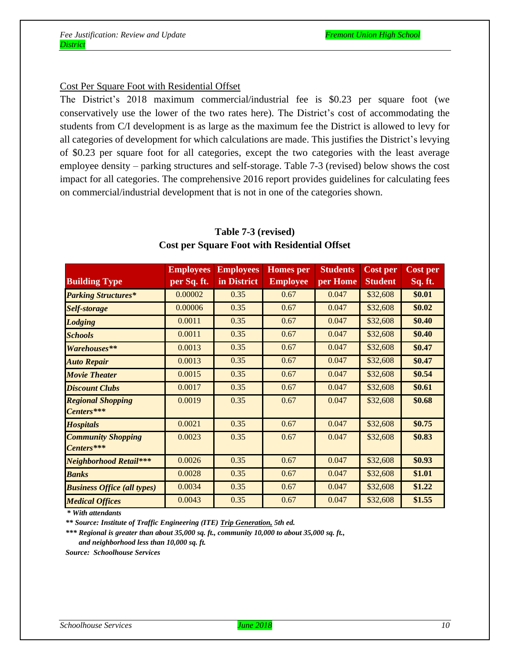#### Cost Per Square Foot with Residential Offset

The District's 2018 maximum commercial/industrial fee is \$0.23 per square foot (we conservatively use the lower of the two rates here). The District's cost of accommodating the students from C/I development is as large as the maximum fee the District is allowed to levy for all categories of development for which calculations are made. This justifies the District's levying of \$0.23 per square foot for all categories, except the two categories with the least average employee density – parking structures and self-storage. Table 7-3 (revised) below shows the cost impact for all categories. The comprehensive 2016 report provides guidelines for calculating fees on commercial/industrial development that is not in one of the categories shown.

|                                         | <b>Employees</b> | <b>Employees</b> | <b>Homes</b> per | <b>Students</b> | <b>Cost per</b> | <b>Cost per</b> |
|-----------------------------------------|------------------|------------------|------------------|-----------------|-----------------|-----------------|
| <b>Building Type</b>                    | per Sq. ft.      | in District      | <b>Employee</b>  | per Home        | <b>Student</b>  | Sq. ft.         |
| <b>Parking Structures*</b>              | 0.00002          | 0.35             | 0.67             | 0.047           | \$32,608        | \$0.01          |
| <b>Self-storage</b>                     | 0.00006          | 0.35             | 0.67             | 0.047           | \$32,608        | \$0.02          |
| <b>Lodging</b>                          | 0.0011           | 0.35             | 0.67             | 0.047           | \$32,608        | \$0.40          |
| <b>Schools</b>                          | 0.0011           | 0.35             | 0.67             | 0.047           | \$32,608        | \$0.40          |
| Warehouses**                            | 0.0013           | 0.35             | 0.67             | 0.047           | \$32,608        | \$0.47          |
| <b>Auto Repair</b>                      | 0.0013           | 0.35             | 0.67             | 0.047           | \$32,608        | \$0.47          |
| <b>Movie Theater</b>                    | 0.0015           | 0.35             | 0.67             | 0.047           | \$32,608        | \$0.54          |
| <b>Discount Clubs</b>                   | 0.0017           | 0.35             | 0.67             | 0.047           | \$32,608        | \$0.61          |
| <b>Regional Shopping</b><br>Centers***  | 0.0019           | 0.35             | 0.67             | 0.047           | \$32,608        | \$0.68          |
| <b>Hospitals</b>                        | 0.0021           | 0.35             | 0.67             | 0.047           | \$32,608        | \$0.75          |
| <b>Community Shopping</b><br>Centers*** | 0.0023           | 0.35             | 0.67             | 0.047           | \$32,608        | \$0.83          |
| <b>Neighborhood Retail***</b>           | 0.0026           | 0.35             | 0.67             | 0.047           | \$32,608        | \$0.93          |
| <b>Banks</b>                            | 0.0028           | 0.35             | 0.67             | 0.047           | \$32,608        | \$1.01          |
| <b>Business Office (all types)</b>      | 0.0034           | 0.35             | 0.67             | 0.047           | \$32,608        | \$1.22          |
| <b>Medical Offices</b>                  | 0.0043           | 0.35             | 0.67             | 0.047           | \$32,608        | \$1.55          |

## **Table 7-3 (revised) Cost per Square Foot with Residential Offset**

 *\* With attendants*

 *\*\* Source: Institute of Traffic Engineering (ITE) Trip Generation, 5th ed.*

 *\*\*\* Regional is greater than about 35,000 sq. ft., community 10,000 to about 35,000 sq. ft., and neighborhood less than 10,000 sq. ft.*

 *Source: Schoolhouse Services*